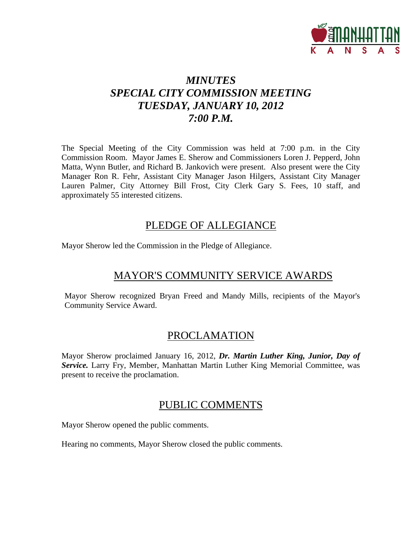

# *MINUTES SPECIAL CITY COMMISSION MEETING TUESDAY, JANUARY 10, 2012 7:00 P.M.*

The Special Meeting of the City Commission was held at 7:00 p.m. in the City Commission Room. Mayor James E. Sherow and Commissioners Loren J. Pepperd, John Matta, Wynn Butler, and Richard B. Jankovich were present. Also present were the City Manager Ron R. Fehr, Assistant City Manager Jason Hilgers, Assistant City Manager Lauren Palmer, City Attorney Bill Frost, City Clerk Gary S. Fees, 10 staff, and approximately 55 interested citizens.

## PLEDGE OF ALLEGIANCE

Mayor Sherow led the Commission in the Pledge of Allegiance.

# MAYOR'S COMMUNITY SERVICE AWARDS

Mayor Sherow recognized Bryan Freed and Mandy Mills, recipients of the Mayor's Community Service Award.

## PROCLAMATION

Mayor Sherow proclaimed January 16, 2012, *Dr. Martin Luther King, Junior, Day of Service.* Larry Fry, Member, Manhattan Martin Luther King Memorial Committee, was present to receive the proclamation.

### PUBLIC COMMENTS

Mayor Sherow opened the public comments.

Hearing no comments, Mayor Sherow closed the public comments.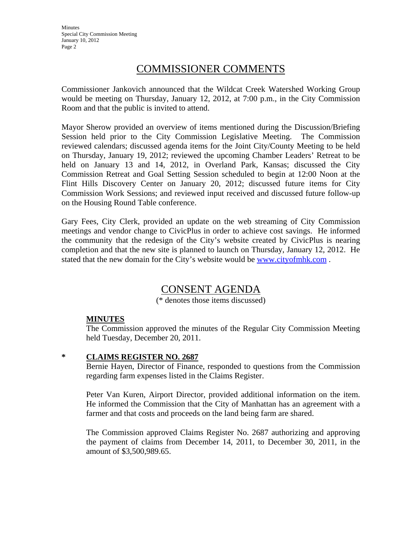Minutes Special City Commission Meeting January 10, 2012 Page 2

## COMMISSIONER COMMENTS

Commissioner Jankovich announced that the Wildcat Creek Watershed Working Group would be meeting on Thursday, January 12, 2012, at 7:00 p.m., in the City Commission Room and that the public is invited to attend.

Mayor Sherow provided an overview of items mentioned during the Discussion/Briefing Session held prior to the City Commission Legislative Meeting. The Commission reviewed calendars; discussed agenda items for the Joint City/County Meeting to be held on Thursday, January 19, 2012; reviewed the upcoming Chamber Leaders' Retreat to be held on January 13 and 14, 2012, in Overland Park, Kansas; discussed the City Commission Retreat and Goal Setting Session scheduled to begin at 12:00 Noon at the Flint Hills Discovery Center on January 20, 2012; discussed future items for City Commission Work Sessions; and reviewed input received and discussed future follow-up on the Housing Round Table conference.

Gary Fees, City Clerk, provided an update on the web streaming of City Commission meetings and vendor change to CivicPlus in order to achieve cost savings. He informed the community that the redesign of the City's website created by CivicPlus is nearing completion and that the new site is planned to launch on Thursday, January 12, 2012. He stated that the new domain for the City's website would be www.cityofmhk.com .

## CONSENT AGENDA

(\* denotes those items discussed)

### **MINUTES**

The Commission approved the minutes of the Regular City Commission Meeting held Tuesday, December 20, 2011.

#### **\* CLAIMS REGISTER NO. 2687**

Bernie Hayen, Director of Finance, responded to questions from the Commission regarding farm expenses listed in the Claims Register.

Peter Van Kuren, Airport Director, provided additional information on the item. He informed the Commission that the City of Manhattan has an agreement with a farmer and that costs and proceeds on the land being farm are shared.

The Commission approved Claims Register No. 2687 authorizing and approving the payment of claims from December 14, 2011, to December 30, 2011, in the amount of \$3,500,989.65.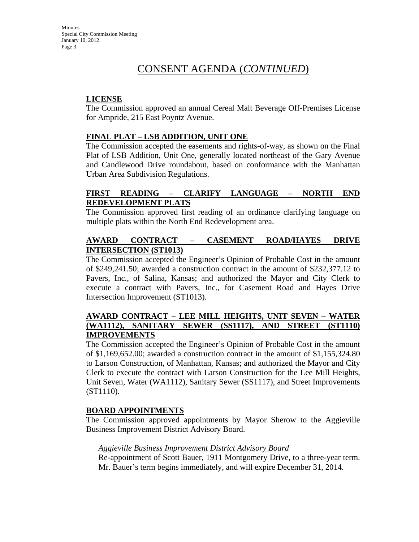Minutes Special City Commission Meeting January 10, 2012 Page 3

## CONSENT AGENDA (*CONTINUED*)

### **LICENSE**

The Commission approved an annual Cereal Malt Beverage Off-Premises License for Ampride, 215 East Poyntz Avenue.

### **FINAL PLAT – LSB ADDITION, UNIT ONE**

The Commission accepted the easements and rights-of-way, as shown on the Final Plat of LSB Addition, Unit One, generally located northeast of the Gary Avenue and Candlewood Drive roundabout, based on conformance with the Manhattan Urban Area Subdivision Regulations.

### **FIRST READING – CLARIFY LANGUAGE – NORTH END REDEVELOPMENT PLATS**

The Commission approved first reading of an ordinance clarifying language on multiple plats within the North End Redevelopment area.

### **AWARD CONTRACT – CASEMENT ROAD/HAYES DRIVE INTERSECTION (ST1013)**

The Commission accepted the Engineer's Opinion of Probable Cost in the amount of \$249,241.50; awarded a construction contract in the amount of \$232,377.12 to Pavers, Inc., of Salina, Kansas; and authorized the Mayor and City Clerk to execute a contract with Pavers, Inc., for Casement Road and Hayes Drive Intersection Improvement (ST1013).

### **AWARD CONTRACT – LEE MILL HEIGHTS, UNIT SEVEN – WATER (WA1112), SANITARY SEWER (SS1117), AND STREET (ST1110) IMPROVEMENTS**

The Commission accepted the Engineer's Opinion of Probable Cost in the amount of \$1,169,652.00; awarded a construction contract in the amount of \$1,155,324.80 to Larson Construction, of Manhattan, Kansas; and authorized the Mayor and City Clerk to execute the contract with Larson Construction for the Lee Mill Heights, Unit Seven, Water (WA1112), Sanitary Sewer (SS1117), and Street Improvements (ST1110).

#### **BOARD APPOINTMENTS**

The Commission approved appointments by Mayor Sherow to the Aggieville Business Improvement District Advisory Board.

#### *Aggieville Business Improvement District Advisory Board*

Re-appointment of Scott Bauer, 1911 Montgomery Drive, to a three-year term. Mr. Bauer's term begins immediately, and will expire December 31, 2014.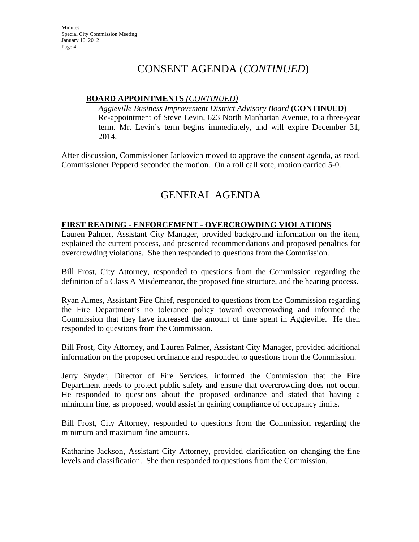**Minutes** Special City Commission Meeting January 10, 2012 Page 4

## CONSENT AGENDA (*CONTINUED*)

#### **BOARD APPOINTMENTS** *(CONTINUED)*

*Aggieville Business Improvement District Advisory Board* **(CONTINUED)** Re-appointment of Steve Levin, 623 North Manhattan Avenue, to a three-year term. Mr. Levin's term begins immediately, and will expire December 31, 2014.

After discussion, Commissioner Jankovich moved to approve the consent agenda, as read. Commissioner Pepperd seconded the motion. On a roll call vote, motion carried 5-0.

# GENERAL AGENDA

#### **FIRST READING - ENFORCEMENT - OVERCROWDING VIOLATIONS**

Lauren Palmer, Assistant City Manager, provided background information on the item, explained the current process, and presented recommendations and proposed penalties for overcrowding violations. She then responded to questions from the Commission.

Bill Frost, City Attorney, responded to questions from the Commission regarding the definition of a Class A Misdemeanor, the proposed fine structure, and the hearing process.

Ryan Almes, Assistant Fire Chief, responded to questions from the Commission regarding the Fire Department's no tolerance policy toward overcrowding and informed the Commission that they have increased the amount of time spent in Aggieville. He then responded to questions from the Commission.

Bill Frost, City Attorney, and Lauren Palmer, Assistant City Manager, provided additional information on the proposed ordinance and responded to questions from the Commission.

Jerry Snyder, Director of Fire Services, informed the Commission that the Fire Department needs to protect public safety and ensure that overcrowding does not occur. He responded to questions about the proposed ordinance and stated that having a minimum fine, as proposed, would assist in gaining compliance of occupancy limits.

Bill Frost, City Attorney, responded to questions from the Commission regarding the minimum and maximum fine amounts.

Katharine Jackson, Assistant City Attorney, provided clarification on changing the fine levels and classification. She then responded to questions from the Commission.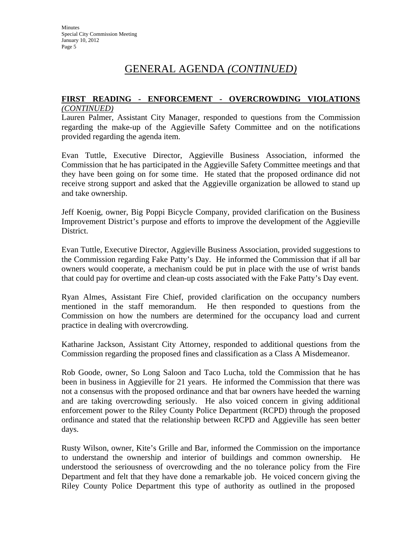#### **FIRST READING - ENFORCEMENT - OVERCROWDING VIOLATIONS**  *(CONTINUED)*

Lauren Palmer, Assistant City Manager, responded to questions from the Commission regarding the make-up of the Aggieville Safety Committee and on the notifications provided regarding the agenda item.

Evan Tuttle, Executive Director, Aggieville Business Association, informed the Commission that he has participated in the Aggieville Safety Committee meetings and that they have been going on for some time. He stated that the proposed ordinance did not receive strong support and asked that the Aggieville organization be allowed to stand up and take ownership.

Jeff Koenig, owner, Big Poppi Bicycle Company, provided clarification on the Business Improvement District's purpose and efforts to improve the development of the Aggieville District.

Evan Tuttle, Executive Director, Aggieville Business Association, provided suggestions to the Commission regarding Fake Patty's Day. He informed the Commission that if all bar owners would cooperate, a mechanism could be put in place with the use of wrist bands that could pay for overtime and clean-up costs associated with the Fake Patty's Day event.

Ryan Almes, Assistant Fire Chief, provided clarification on the occupancy numbers mentioned in the staff memorandum. He then responded to questions from the Commission on how the numbers are determined for the occupancy load and current practice in dealing with overcrowding.

Katharine Jackson, Assistant City Attorney, responded to additional questions from the Commission regarding the proposed fines and classification as a Class A Misdemeanor.

Rob Goode, owner, So Long Saloon and Taco Lucha, told the Commission that he has been in business in Aggieville for 21 years. He informed the Commission that there was not a consensus with the proposed ordinance and that bar owners have heeded the warning and are taking overcrowding seriously. He also voiced concern in giving additional enforcement power to the Riley County Police Department (RCPD) through the proposed ordinance and stated that the relationship between RCPD and Aggieville has seen better days.

Rusty Wilson, owner, Kite's Grille and Bar, informed the Commission on the importance to understand the ownership and interior of buildings and common ownership. He understood the seriousness of overcrowding and the no tolerance policy from the Fire Department and felt that they have done a remarkable job. He voiced concern giving the Riley County Police Department this type of authority as outlined in the proposed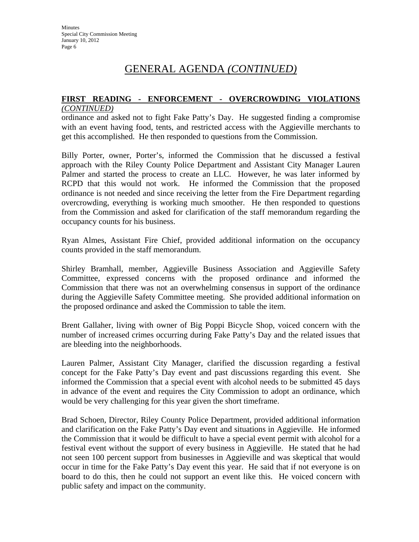# **FIRST READING - ENFORCEMENT - OVERCROWDING VIOLATIONS**

### *(CONTINUED)*

ordinance and asked not to fight Fake Patty's Day. He suggested finding a compromise with an event having food, tents, and restricted access with the Aggieville merchants to get this accomplished. He then responded to questions from the Commission.

Billy Porter, owner, Porter's, informed the Commission that he discussed a festival approach with the Riley County Police Department and Assistant City Manager Lauren Palmer and started the process to create an LLC. However, he was later informed by RCPD that this would not work. He informed the Commission that the proposed ordinance is not needed and since receiving the letter from the Fire Department regarding overcrowding, everything is working much smoother. He then responded to questions from the Commission and asked for clarification of the staff memorandum regarding the occupancy counts for his business.

Ryan Almes, Assistant Fire Chief, provided additional information on the occupancy counts provided in the staff memorandum.

Shirley Bramhall, member, Aggieville Business Association and Aggieville Safety Committee, expressed concerns with the proposed ordinance and informed the Commission that there was not an overwhelming consensus in support of the ordinance during the Aggieville Safety Committee meeting. She provided additional information on the proposed ordinance and asked the Commission to table the item.

Brent Gallaher, living with owner of Big Poppi Bicycle Shop, voiced concern with the number of increased crimes occurring during Fake Patty's Day and the related issues that are bleeding into the neighborhoods.

Lauren Palmer, Assistant City Manager, clarified the discussion regarding a festival concept for the Fake Patty's Day event and past discussions regarding this event. She informed the Commission that a special event with alcohol needs to be submitted 45 days in advance of the event and requires the City Commission to adopt an ordinance, which would be very challenging for this year given the short timeframe.

Brad Schoen, Director, Riley County Police Department, provided additional information and clarification on the Fake Patty's Day event and situations in Aggieville. He informed the Commission that it would be difficult to have a special event permit with alcohol for a festival event without the support of every business in Aggieville. He stated that he had not seen 100 percent support from businesses in Aggieville and was skeptical that would occur in time for the Fake Patty's Day event this year. He said that if not everyone is on board to do this, then he could not support an event like this. He voiced concern with public safety and impact on the community.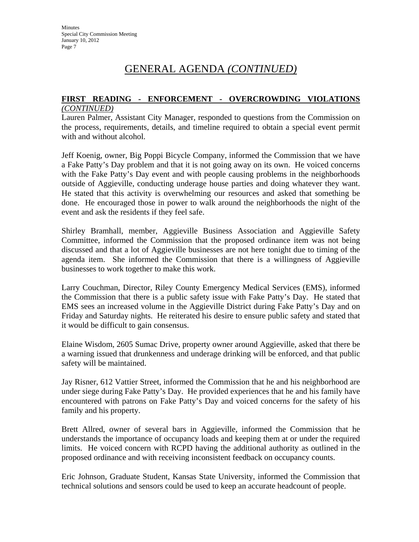#### **FIRST READING - ENFORCEMENT - OVERCROWDING VIOLATIONS**  *(CONTINUED)*

Lauren Palmer, Assistant City Manager, responded to questions from the Commission on the process, requirements, details, and timeline required to obtain a special event permit with and without alcohol.

Jeff Koenig, owner, Big Poppi Bicycle Company, informed the Commission that we have a Fake Patty's Day problem and that it is not going away on its own. He voiced concerns with the Fake Patty's Day event and with people causing problems in the neighborhoods outside of Aggieville, conducting underage house parties and doing whatever they want. He stated that this activity is overwhelming our resources and asked that something be done. He encouraged those in power to walk around the neighborhoods the night of the event and ask the residents if they feel safe.

Shirley Bramhall, member, Aggieville Business Association and Aggieville Safety Committee, informed the Commission that the proposed ordinance item was not being discussed and that a lot of Aggieville businesses are not here tonight due to timing of the agenda item. She informed the Commission that there is a willingness of Aggieville businesses to work together to make this work.

Larry Couchman, Director, Riley County Emergency Medical Services (EMS), informed the Commission that there is a public safety issue with Fake Patty's Day. He stated that EMS sees an increased volume in the Aggieville District during Fake Patty's Day and on Friday and Saturday nights. He reiterated his desire to ensure public safety and stated that it would be difficult to gain consensus.

Elaine Wisdom, 2605 Sumac Drive, property owner around Aggieville, asked that there be a warning issued that drunkenness and underage drinking will be enforced, and that public safety will be maintained.

Jay Risner, 612 Vattier Street, informed the Commission that he and his neighborhood are under siege during Fake Patty's Day. He provided experiences that he and his family have encountered with patrons on Fake Patty's Day and voiced concerns for the safety of his family and his property.

Brett Allred, owner of several bars in Aggieville, informed the Commission that he understands the importance of occupancy loads and keeping them at or under the required limits. He voiced concern with RCPD having the additional authority as outlined in the proposed ordinance and with receiving inconsistent feedback on occupancy counts.

Eric Johnson, Graduate Student, Kansas State University, informed the Commission that technical solutions and sensors could be used to keep an accurate headcount of people.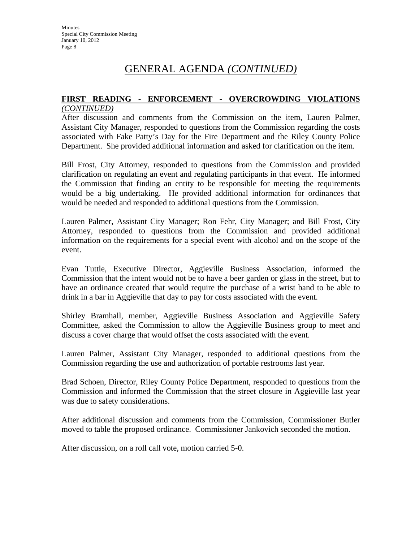#### **FIRST READING - ENFORCEMENT - OVERCROWDING VIOLATIONS**  *(CONTINUED)*

After discussion and comments from the Commission on the item, Lauren Palmer, Assistant City Manager, responded to questions from the Commission regarding the costs associated with Fake Patty's Day for the Fire Department and the Riley County Police Department. She provided additional information and asked for clarification on the item.

Bill Frost, City Attorney, responded to questions from the Commission and provided clarification on regulating an event and regulating participants in that event. He informed the Commission that finding an entity to be responsible for meeting the requirements would be a big undertaking. He provided additional information for ordinances that would be needed and responded to additional questions from the Commission.

Lauren Palmer, Assistant City Manager; Ron Fehr, City Manager; and Bill Frost, City Attorney, responded to questions from the Commission and provided additional information on the requirements for a special event with alcohol and on the scope of the event.

Evan Tuttle, Executive Director, Aggieville Business Association, informed the Commission that the intent would not be to have a beer garden or glass in the street, but to have an ordinance created that would require the purchase of a wrist band to be able to drink in a bar in Aggieville that day to pay for costs associated with the event.

Shirley Bramhall, member, Aggieville Business Association and Aggieville Safety Committee, asked the Commission to allow the Aggieville Business group to meet and discuss a cover charge that would offset the costs associated with the event.

Lauren Palmer, Assistant City Manager, responded to additional questions from the Commission regarding the use and authorization of portable restrooms last year.

Brad Schoen, Director, Riley County Police Department, responded to questions from the Commission and informed the Commission that the street closure in Aggieville last year was due to safety considerations.

After additional discussion and comments from the Commission, Commissioner Butler moved to table the proposed ordinance. Commissioner Jankovich seconded the motion.

After discussion, on a roll call vote, motion carried 5-0.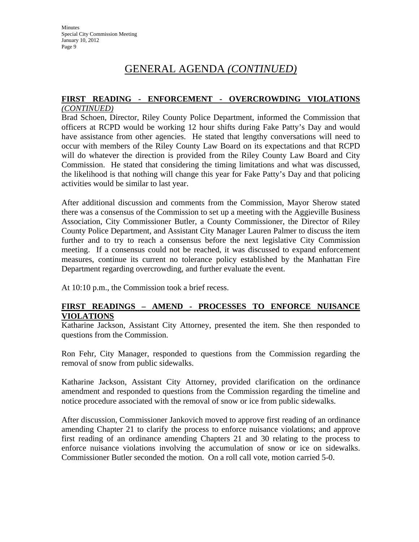#### **FIRST READING - ENFORCEMENT - OVERCROWDING VIOLATIONS**  *(CONTINUED)*

Brad Schoen, Director, Riley County Police Department, informed the Commission that officers at RCPD would be working 12 hour shifts during Fake Patty's Day and would have assistance from other agencies. He stated that lengthy conversations will need to occur with members of the Riley County Law Board on its expectations and that RCPD will do whatever the direction is provided from the Riley County Law Board and City Commission. He stated that considering the timing limitations and what was discussed, the likelihood is that nothing will change this year for Fake Patty's Day and that policing activities would be similar to last year.

After additional discussion and comments from the Commission, Mayor Sherow stated there was a consensus of the Commission to set up a meeting with the Aggieville Business Association, City Commissioner Butler, a County Commissioner, the Director of Riley County Police Department, and Assistant City Manager Lauren Palmer to discuss the item further and to try to reach a consensus before the next legislative City Commission meeting. If a consensus could not be reached, it was discussed to expand enforcement measures, continue its current no tolerance policy established by the Manhattan Fire Department regarding overcrowding, and further evaluate the event.

At 10:10 p.m., the Commission took a brief recess.

### **FIRST READINGS – AMEND - PROCESSES TO ENFORCE NUISANCE VIOLATIONS**

Katharine Jackson, Assistant City Attorney, presented the item. She then responded to questions from the Commission.

Ron Fehr, City Manager, responded to questions from the Commission regarding the removal of snow from public sidewalks.

Katharine Jackson, Assistant City Attorney, provided clarification on the ordinance amendment and responded to questions from the Commission regarding the timeline and notice procedure associated with the removal of snow or ice from public sidewalks.

After discussion, Commissioner Jankovich moved to approve first reading of an ordinance amending Chapter 21 to clarify the process to enforce nuisance violations; and approve first reading of an ordinance amending Chapters 21 and 30 relating to the process to enforce nuisance violations involving the accumulation of snow or ice on sidewalks. Commissioner Butler seconded the motion. On a roll call vote, motion carried 5-0.